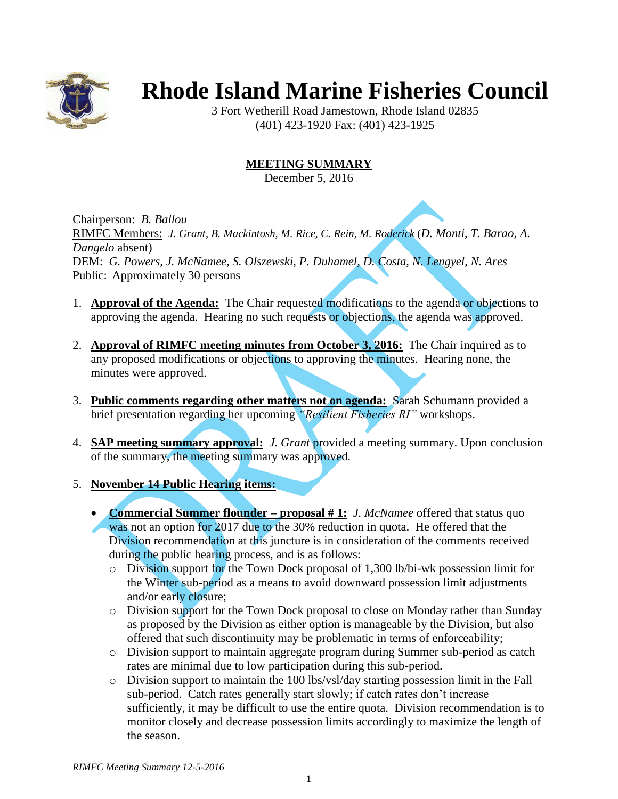

# **Rhode Island Marine Fisheries Council**

3 Fort Wetherill Road Jamestown, Rhode Island 02835 (401) 423-1920 Fax: (401) 423-1925

# **MEETING SUMMARY**

December 5, 2016

Chairperson: *B. Ballou* RIMFC Members: *J. Grant, B. Mackintosh, M. Rice, C. Rein, M. Roderick* (*D. Monti, T. Barao, A. Dangelo* absent) DEM: *G. Powers, J. McNamee, S. Olszewski, P. Duhamel, D. Costa, N. Lengyel, N. Ares* Public: Approximately 30 persons

- 1. **Approval of the Agenda:** The Chair requested modifications to the agenda or objections to approving the agenda. Hearing no such requests or objections, the agenda was approved.
- 2. **Approval of RIMFC meeting minutes from October 3, 2016:** The Chair inquired as to any proposed modifications or objections to approving the minutes. Hearing none, the minutes were approved.
- 3. **Public comments regarding other matters not on agenda:** Sarah Schumann provided a brief presentation regarding her upcoming *"Resilient Fisheries RI"* workshops.
- 4. **SAP meeting summary approval:** *J. Grant* provided a meeting summary. Upon conclusion of the summary, the meeting summary was approved.

## 5. **November 14 Public Hearing items:**

- **Commercial Summer flounder – proposal # 1:** *J. McNamee* offered that status quo was not an option for 2017 due to the 30% reduction in quota. He offered that the Division recommendation at this juncture is in consideration of the comments received during the public hearing process, and is as follows:
	- o Division support for the Town Dock proposal of 1,300 lb/bi-wk possession limit for the Winter sub-period as a means to avoid downward possession limit adjustments and/or early closure;
	- o Division support for the Town Dock proposal to close on Monday rather than Sunday as proposed by the Division as either option is manageable by the Division, but also offered that such discontinuity may be problematic in terms of enforceability;
	- o Division support to maintain aggregate program during Summer sub-period as catch rates are minimal due to low participation during this sub-period.
	- o Division support to maintain the 100 lbs/vsl/day starting possession limit in the Fall sub-period. Catch rates generally start slowly; if catch rates don't increase sufficiently, it may be difficult to use the entire quota. Division recommendation is to monitor closely and decrease possession limits accordingly to maximize the length of the season.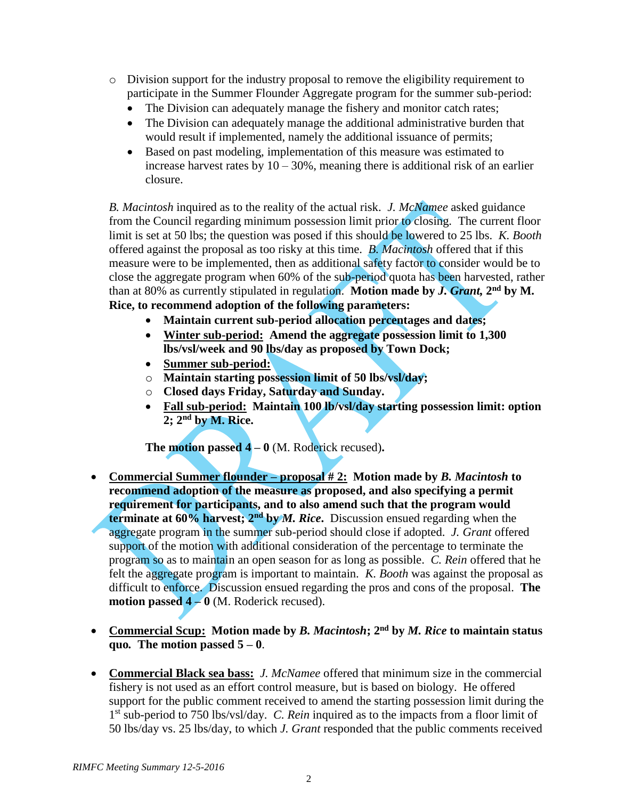- $\circ$  Division support for the industry proposal to remove the eligibility requirement to participate in the Summer Flounder Aggregate program for the summer sub-period:
	- The Division can adequately manage the fishery and monitor catch rates;
	- The Division can adequately manage the additional administrative burden that would result if implemented, namely the additional issuance of permits;
	- Based on past modeling, implementation of this measure was estimated to increase harvest rates by  $10 - 30\%$ , meaning there is additional risk of an earlier closure.

*B. Macintosh* inquired as to the reality of the actual risk. *J. McNamee* asked guidance from the Council regarding minimum possession limit prior to closing. The current floor limit is set at 50 lbs; the question was posed if this should be lowered to 25 lbs. *K. Booth* offered against the proposal as too risky at this time. *B. Macintosh* offered that if this measure were to be implemented, then as additional safety factor to consider would be to close the aggregate program when 60% of the sub-period quota has been harvested, rather than at 80% as currently stipulated in regulation. Motion made by *J. Grant*, 2<sup>nd</sup> by M. **Rice, to recommend adoption of the following parameters:**

- **Maintain current sub-period allocation percentages and dates;**
- **Winter sub-period: Amend the aggregate possession limit to 1,300 lbs/vsl/week and 90 lbs/day as proposed by Town Dock;**
- **Summer sub-period:**
- o **Maintain starting possession limit of 50 lbs/vsl/day;**
- o **Closed days Friday, Saturday and Sunday.**
- **Fall sub-period: Maintain 100 lb/vsl/day starting possession limit: option 2; 2nd by M. Rice.**

**The motion passed 4 – 0** (M. Roderick recused)**.**

- **Commercial Summer flounder – proposal # 2: Motion made by** *B. Macintosh* **to recommend adoption of the measure as proposed, and also specifying a permit requirement for participants, and to also amend such that the program would terminate at 60% harvest; 2nd by** *M. Rice***.** Discussion ensued regarding when the aggregate program in the summer sub-period should close if adopted. *J. Grant* offered support of the motion with additional consideration of the percentage to terminate the program so as to maintain an open season for as long as possible. *C. Rein* offered that he felt the aggregate program is important to maintain. *K. Booth* was against the proposal as difficult to enforce. Discussion ensued regarding the pros and cons of the proposal. **The motion passed 4 – 0** (M. Roderick recused).
- **Commercial Scup: Motion made by** *B. Macintosh***; 2nd by** *M. Rice* **to maintain status quo.** The motion passed  $5 - 0$ .
- **Commercial Black sea bass:** *J. McNamee* offered that minimum size in the commercial fishery is not used as an effort control measure, but is based on biology. He offered support for the public comment received to amend the starting possession limit during the 1<sup>st</sup> sub-period to 750 lbs/vsl/day. *C. Rein* inquired as to the impacts from a floor limit of 50 lbs/day vs. 25 lbs/day, to which *J. Grant* responded that the public comments received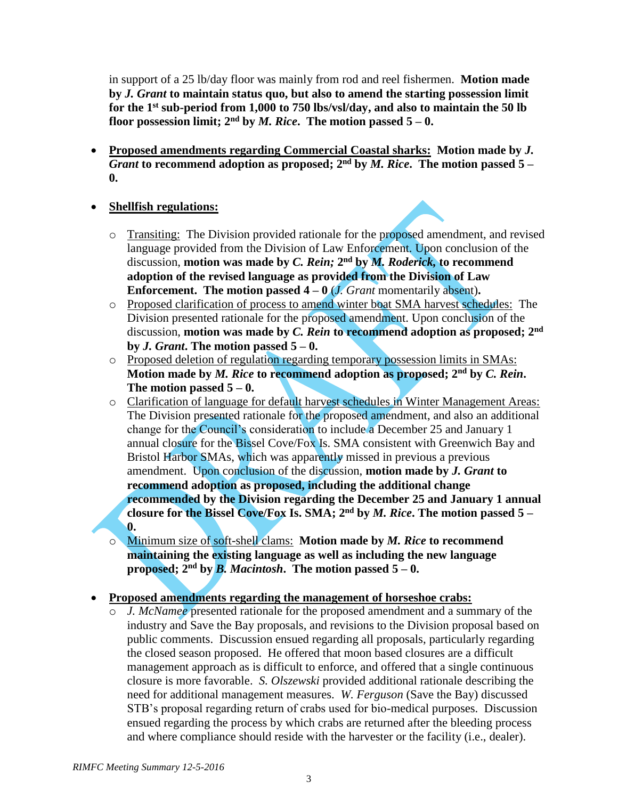in support of a 25 lb/day floor was mainly from rod and reel fishermen. **Motion made by** *J. Grant* **to maintain status quo, but also to amend the starting possession limit for the 1st sub-period from 1,000 to 750 lbs/vsl/day, and also to maintain the 50 lb floor possession limit;**  $2^{nd}$  by *M. Rice*. The motion passed  $5-0$ .

 **Proposed amendments regarding Commercial Coastal sharks: Motion made by** *J. Grant* to recommend adoption as proposed;  $2<sup>nd</sup>$  by *M. Rice*. The motion passed 5 – **0.**

## **Shellfish regulations:**

- o Transiting: The Division provided rationale for the proposed amendment, and revised language provided from the Division of Law Enforcement. Upon conclusion of the discussion, motion was made by *C. Rein;* 2<sup>nd</sup> by *M. Roderick*, to recommend **adoption of the revised language as provided from the Division of Law Enforcement.** The motion passed  $4 - 0$  (*J. Grant* momentarily absent).
- o Proposed clarification of process to amend winter boat SMA harvest schedules: The Division presented rationale for the proposed amendment. Upon conclusion of the discussion, **motion was made by** *C. Rein* **to recommend adoption as proposed; 2nd by** *J. Grant***. The motion passed 5 – 0.**
- o Proposed deletion of regulation regarding temporary possession limits in SMAs: **Motion made by** *M. Rice* **to recommend adoption as proposed; 2nd by** *C. Rein***.**  The motion passed  $5 - 0$ .
- o Clarification of language for default harvest schedules in Winter Management Areas: The Division presented rationale for the proposed amendment, and also an additional change for the Council's consideration to include a December 25 and January 1 annual closure for the Bissel Cove/Fox Is. SMA consistent with Greenwich Bay and Bristol Harbor SMAs, which was apparently missed in previous a previous amendment. Upon conclusion of the discussion, **motion made by** *J. Grant* **to recommend adoption as proposed, including the additional change recommended by the Division regarding the December 25 and January 1 annual closure for the Bissel Cove/Fox Is. SMA; 2 nd by** *M. Rice***. The motion passed 5 – 0.**
- o Minimum size of soft-shell clams: **Motion made by** *M. Rice* **to recommend maintaining the existing language as well as including the new language proposed;** 2<sup>nd</sup> by *B. Macintosh*. The motion passed 5 – 0.

#### **Proposed amendments regarding the management of horseshoe crabs:**

o *J. McNamee* presented rationale for the proposed amendment and a summary of the industry and Save the Bay proposals, and revisions to the Division proposal based on public comments. Discussion ensued regarding all proposals, particularly regarding the closed season proposed. He offered that moon based closures are a difficult management approach as is difficult to enforce, and offered that a single continuous closure is more favorable. *S. Olszewski* provided additional rationale describing the need for additional management measures. *W. Ferguson* (Save the Bay) discussed STB's proposal regarding return of crabs used for bio-medical purposes. Discussion ensued regarding the process by which crabs are returned after the bleeding process and where compliance should reside with the harvester or the facility (i.e., dealer).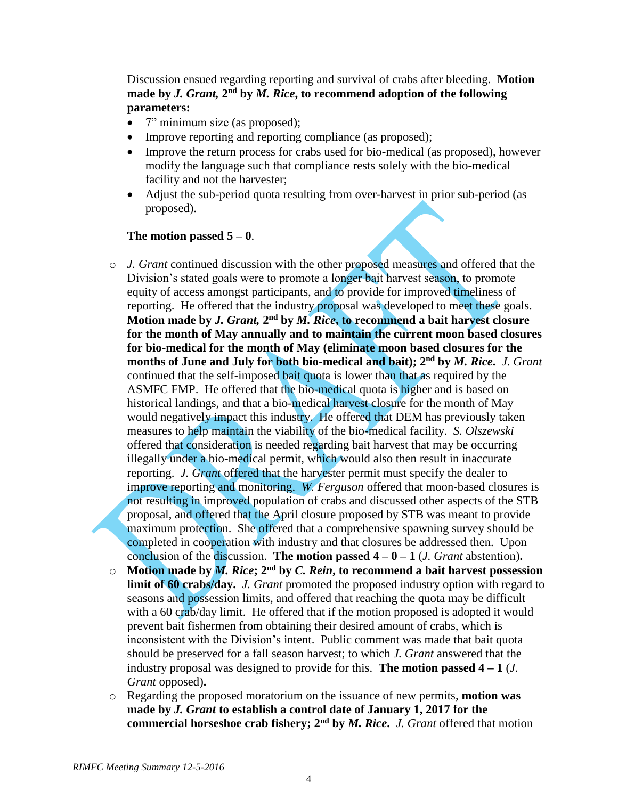Discussion ensued regarding reporting and survival of crabs after bleeding. **Motion**  made by *J. Grant,*  $2<sup>nd</sup>$  by *M. Rice*, to recommend adoption of the following **parameters:**

- 7" minimum size (as proposed);
- Improve reporting and reporting compliance (as proposed);
- Improve the return process for crabs used for bio-medical (as proposed), however modify the language such that compliance rests solely with the bio-medical facility and not the harvester;
- Adjust the sub-period quota resulting from over-harvest in prior sub-period (as proposed).

#### The motion passed  $5 - 0$ .

- o *J. Grant* continued discussion with the other proposed measures and offered that the Division's stated goals were to promote a longer bait harvest season, to promote equity of access amongst participants, and to provide for improved timeliness of reporting. He offered that the industry proposal was developed to meet these goals. Motion made by *J. Grant,* 2<sup>nd</sup> by *M. Rice*, to recommend a bait harvest closure **for the month of May annually and to maintain the current moon based closures for bio-medical for the month of May (eliminate moon based closures for the months of June and July for both bio-medical and bait); 2nd by** *M. Rice***.** *J. Grant* continued that the self-imposed bait quota is lower than that as required by the ASMFC FMP. He offered that the bio-medical quota is higher and is based on historical landings, and that a bio-medical harvest closure for the month of May would negatively impact this industry. He offered that DEM has previously taken measures to help maintain the viability of the bio-medical facility. *S. Olszewski* offered that consideration is needed regarding bait harvest that may be occurring illegally under a bio-medical permit, which would also then result in inaccurate reporting. *J. Grant* offered that the harvester permit must specify the dealer to improve reporting and monitoring. *W. Ferguson* offered that moon-based closures is not resulting in improved population of crabs and discussed other aspects of the STB proposal, and offered that the April closure proposed by STB was meant to provide maximum protection. She offered that a comprehensive spawning survey should be completed in cooperation with industry and that closures be addressed then. Upon conclusion of the discussion. **The motion passed**  $4 - 0 - 1$  (*J. Grant* abstention).
- o **Motion made by** *M. Rice***; 2nd by** *C. Rein***, to recommend a bait harvest possession limit of 60 crabs/day.** *J. Grant* promoted the proposed industry option with regard to seasons and possession limits, and offered that reaching the quota may be difficult with a 60 crab/day limit. He offered that if the motion proposed is adopted it would prevent bait fishermen from obtaining their desired amount of crabs, which is inconsistent with the Division's intent. Public comment was made that bait quota should be preserved for a fall season harvest; to which *J. Grant* answered that the industry proposal was designed to provide for this. **The motion passed 4 – 1** (*J. Grant* opposed)**.**
- o Regarding the proposed moratorium on the issuance of new permits, **motion was made by** *J. Grant* **to establish a control date of January 1, 2017 for the commercial horseshoe crab fishery; 2nd by** *M. Rice***.** *J. Grant* offered that motion